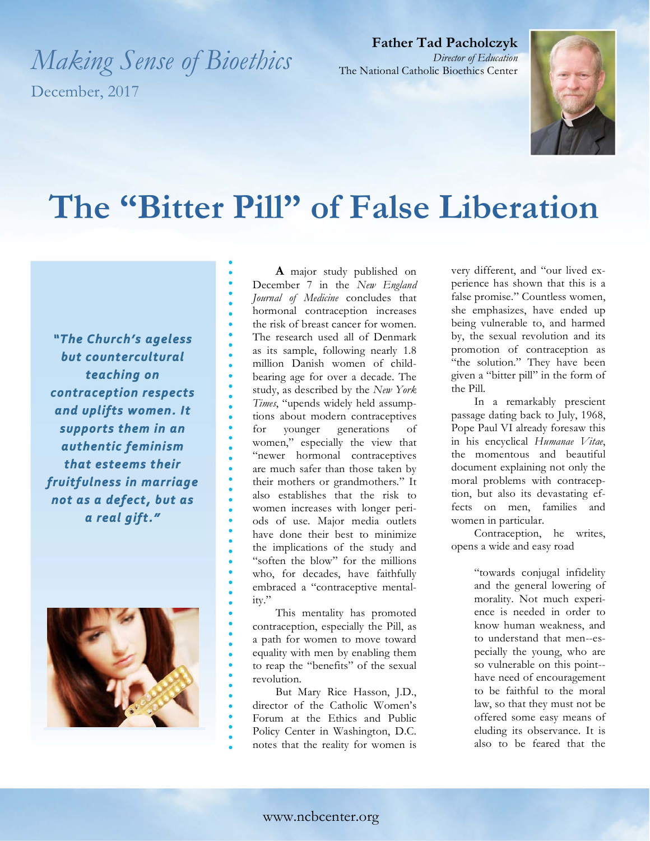*Making Sense of Bioethics*  December, 2017

**Father Tad Pacholczyk** *Director of Education* The National Catholic Bioethics Center



## **The "Bitter Pill" of False Liberation**

"The Church's ageless but countercultural teaching on contraception respects and uplifts women. It supports them in an authentic feminism that esteems their  not as a defect, but as 



**A** major study published on December 7 in the *New England Journal of Medicine* concludes that hormonal contraception increases the risk of breast cancer for women. The research used all of Denmark as its sample, following nearly 1.8 million Danish women of childbearing age for over a decade. The study, as described by the *New York Times*, "upends widely held assumptions about modern contraceptives for younger generations of women," especially the view that "newer hormonal contraceptives are much safer than those taken by their mothers or grandmothers." It also establishes that the risk to women increases with longer periods of use. Major media outlets have done their best to minimize the implications of the study and "soften the blow" for the millions who, for decades, have faithfully embraced a "contraceptive mentality."

This mentality has promoted contraception, especially the Pill, as a path for women to move toward equality with men by enabling them to reap the "benefits" of the sexual revolution.

But Mary Rice Hasson, J.D., director of the Catholic Women's Forum at the Ethics and Public Policy Center in Washington, D.C. notes that the reality for women is very different, and "our lived experience has shown that this is a false promise." Countless women, she emphasizes, have ended up being vulnerable to, and harmed by, the sexual revolution and its promotion of contraception as "the solution." They have been given a "bitter pill" in the form of the Pill.

In a remarkably prescient passage dating back to July, 1968, Pope Paul VI already foresaw this in his encyclical *Humanae Vitae*, the momentous and beautiful document explaining not only the moral problems with contraception, but also its devastating effects on men, families and women in particular.

Contraception, he writes, opens a wide and easy road

> "towards conjugal infidelity and the general lowering of morality. Not much experience is needed in order to know human weakness, and to understand that men--especially the young, who are so vulnerable on this point- have need of encouragement to be faithful to the moral law, so that they must not be offered some easy means of eluding its observance. It is also to be feared that the